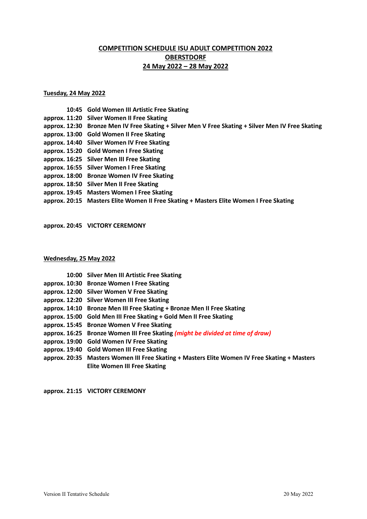# **COMPETITION SCHEDULE ISU ADULT COMPETITION 2022 OBERSTDORF 24 May 2022 – 28 May 2022**

# **Tuesday, 24 May 2022**

- **10:45 Gold Women III Artistic Free Skating**
- **approx. 11:20 Silver Women II Free Skating**
- **approx. 12:30 Bronze Men IV Free Skating + Silver Men V Free Skating + Silver Men IV Free Skating**
- **approx. 13:00 Gold Women II Free Skating**
- **approx. 14:40 Silver Women IV Free Skating**
- **approx. 15:20 Gold Women I Free Skating**
- **approx. 16:25 Silver Men III Free Skating**
- **approx. 16:55 Silver Women I Free Skating**
- **approx. 18:00 Bronze Women IV Free Skating**
- **approx. 18:50 Silver Men II Free Skating**
- **approx. 19:45 Masters Women I Free Skating**
- **approx. 20:15 Masters Elite Women II Free Skating + Masters Elite Women I Free Skating**

**approx. 20:45 VICTORY CEREMONY**

#### **Wednesday, 25 May 2022**

- **10:00 Silver Men III Artistic Free Skating**
- **approx. 10:30 Bronze Women I Free Skating**
- **approx. 12:00 Silver Women V Free Skating**
- **approx. 12:20 Silver Women III Free Skating**
- **approx. 14:10 Bronze Men III Free Skating + Bronze Men II Free Skating**
- **approx. 15:00 Gold Men III Free Skating + Gold Men II Free Skating**
- **approx. 15:45 Bronze Women V Free Skating**
- **approx. 16:25 Bronze Women III Free Skating** *(might be divided at time of draw)*
- **approx. 19:00 Gold Women IV Free Skating**
- **approx. 19:40 Gold Women III Free Skating**
- **approx. 20:35 Masters Women III Free Skating + Masters Elite Women IV Free Skating + Masters Elite Women III Free Skating**

**approx. 21:15 VICTORY CEREMONY**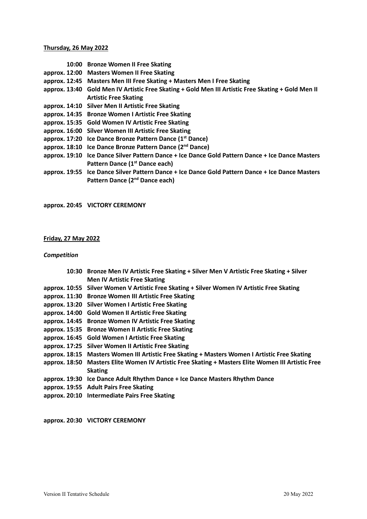# **Thursday, 26 May 2022**

- **10:00 Bronze Women II Free Skating**
- **approx. 12:00 Masters Women II Free Skating**
- **approx. 12:45 Masters Men III Free Skating + Masters Men I Free Skating**
- **approx. 13:40 Gold Men IV Artistic Free Skating + Gold Men III Artistic Free Skating + Gold Men II Artistic Free Skating**
- **approx. 14:10 Silver Men II Artistic Free Skating**
- **approx. 14:35 Bronze Women I Artistic Free Skating**
- **approx. 15:35 Gold Women IV Artistic Free Skating**
- **approx. 16:00 Silver Women III Artistic Free Skating**
- **approx. 17:20 Ice Dance Bronze Pattern Dance (1st Dance)**
- **approx. 18:10 Ice Dance Bronze Pattern Dance (2nd Dance)**
- **approx. 19:10 Ice Dance Silver Pattern Dance + Ice Dance Gold Pattern Dance + Ice Dance Masters Pattern Dance (1st Dance each)**
- **approx. 19:55 Ice Dance Silver Pattern Dance + Ice Dance Gold Pattern Dance + Ice Dance Masters Pattern Dance (2nd Dance each)**

**approx. 20:45 VICTORY CEREMONY**

#### **Friday, 27 May 2022**

## *Competition*

- **10:30 Bronze Men IV Artistic Free Skating + Silver Men V Artistic Free Skating + Silver Men IV Artistic Free Skating**
- **approx. 10:55 Silver Women V Artistic Free Skating + Silver Women IV Artistic Free Skating**
- **approx. 11:30 Bronze Women III Artistic Free Skating**
- **approx. 13:20 Silver Women I Artistic Free Skating**
- **approx. 14:00 Gold Women II Artistic Free Skating**
- **approx. 14:45 Bronze Women IV Artistic Free Skating**
- **approx. 15:35 Bronze Women II Artistic Free Skating**
- **approx. 16:45 Gold Women I Artistic Free Skating**
- **approx. 17:25 Silver Women II Artistic Free Skating**
- **approx. 18:15 Masters Women III Artistic Free Skating + Masters Women I Artistic Free Skating**
- **approx. 18:50 Masters Elite Women IV Artistic Free Skating + Masters Elite Women III Artistic Free Skating**
- **approx. 19:30 Ice Dance Adult Rhythm Dance + Ice Dance Masters Rhythm Dance**
- **approx. 19:55 Adult Pairs Free Skating**
- **approx. 20:10 Intermediate Pairs Free Skating**

**approx. 20:30 VICTORY CEREMONY**